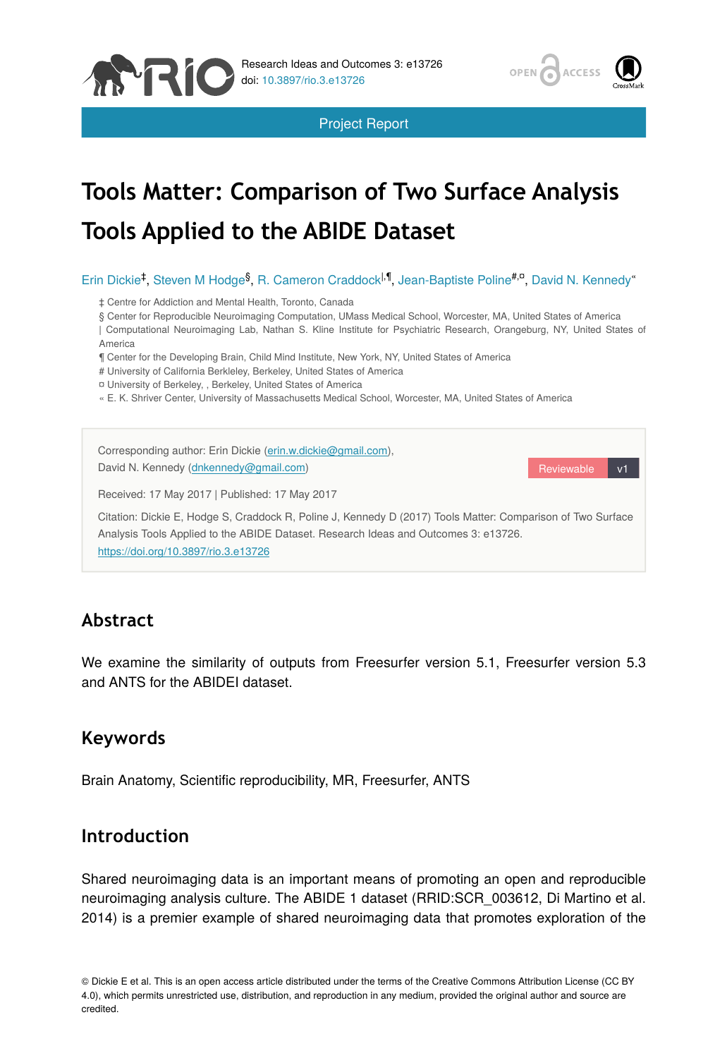

Project Report



# **Tools Matter: Comparison of Two Surface Analysis Tools Applied to the ABIDE Dataset**

Erin Dickie<sup>‡</sup>, Steven M Hodge<sup>§</sup>, R. Cameron Craddock<sup>|, ¶</sup>, Jean-Baptiste Poline<sup>#,¤</sup>, David N. Kennedy"

‡ Centre for Addiction and Mental Health, Toronto, Canada

§ Center for Reproducible Neuroimaging Computation, UMass Medical School, Worcester, MA, United States of America

| Computational Neuroimaging Lab, Nathan S. Kline Institute for Psychiatric Research, Orangeburg, NY, United States of America

¶ Center for the Developing Brain, Child Mind Institute, New York, NY, United States of America

# University of California Berkleley, Berkeley, United States of America

- ¤ University of Berkeley, , Berkeley, United States of America
- « E. K. Shriver Center, University of Massachusetts Medical School, Worcester, MA, United States of America

Reviewable v1 Corresponding author: Erin Dickie ([erin.w.dickie@gmail.com](mailto:erin.w.dickie@gmail.com)), David N. Kennedy [\(dnkennedy@gmail.com](mailto:dnkennedy@gmail.com)) Received: 17 May 2017 | Published: 17 May 2017 Citation: Dickie E, Hodge S, Craddock R, Poline J, Kennedy D (2017) Tools Matter: Comparison of Two Surface Analysis Tools Applied to the ABIDE Dataset. Research Ideas and Outcomes 3: e13726. <https://doi.org/10.3897/rio.3.e13726>

## **Abstract**

We examine the similarity of outputs from Freesurfer version 5.1, Freesurfer version 5.3 and ANTS for the ABIDEI dataset.

## **Keywords**

Brain Anatomy, Scientific reproducibility, MR, Freesurfer, ANTS

## **Introduction**

Shared neuroimaging data is an important means of promoting an open and reproducible neuroimaging analysis culture. The ABIDE 1 dataset (RRID:SCR\_003612, Di Martino et al. 2014) is a premier example of shared neuroimaging data that promotes exploration of the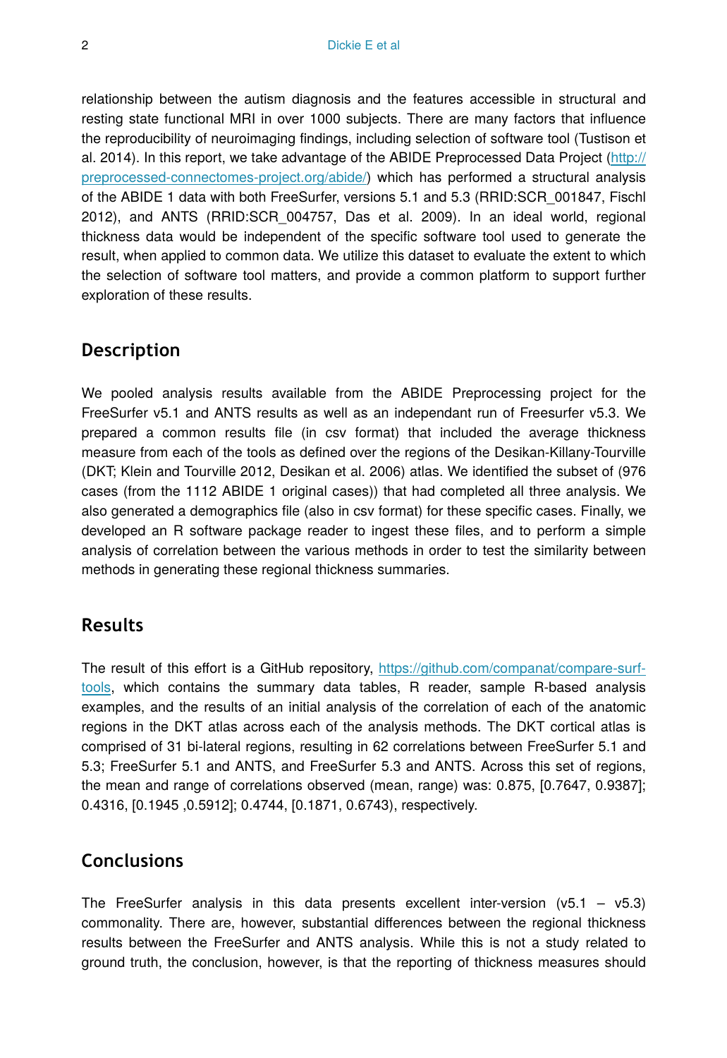relationship between the autism diagnosis and the features accessible in structural and resting state functional MRI in over 1000 subjects. There are many factors that influence the reproducibility of neuroimaging findings, including selection of software tool (Tustison et al. 2014). In this report, we take advantage of the ABIDE Preprocessed Data Project ([http://](http://preprocessed-connectomes-project.org/abide/) [preprocessed-connectomes-project.org/abide/\)](http://preprocessed-connectomes-project.org/abide/) which has performed a structural analysis of the ABIDE 1 data with both FreeSurfer, versions 5.1 and 5.3 (RRID:SCR\_001847, Fischl 2012), and ANTS (RRID:SCR\_004757, Das et al. 2009). In an ideal world, regional thickness data would be independent of the specific software tool used to generate the result, when applied to common data. We utilize this dataset to evaluate the extent to which the selection of software tool matters, and provide a common platform to support further exploration of these results.

#### **Description**

We pooled analysis results available from the ABIDE Preprocessing project for the FreeSurfer v5.1 and ANTS results as well as an independant run of Freesurfer v5.3. We prepared a common results file (in csv format) that included the average thickness measure from each of the tools as defined over the regions of the Desikan-Killany-Tourville (DKT; Klein and Tourville 2012, Desikan et al. 2006) atlas. We identified the subset of (976 cases (from the 1112 ABIDE 1 original cases)) that had completed all three analysis. We also generated a demographics file (also in csv format) for these specific cases. Finally, we developed an R software package reader to ingest these files, and to perform a simple analysis of correlation between the various methods in order to test the similarity between methods in generating these regional thickness summaries.

#### **Results**

The result of this effort is a GitHub repository, [https://github.com/companat/compare-surf](https://github.com/companat/compare-surf-tools)[tools](https://github.com/companat/compare-surf-tools), which contains the summary data tables, R reader, sample R-based analysis examples, and the results of an initial analysis of the correlation of each of the anatomic regions in the DKT atlas across each of the analysis methods. The DKT cortical atlas is comprised of 31 bi-lateral regions, resulting in 62 correlations between FreeSurfer 5.1 and 5.3; FreeSurfer 5.1 and ANTS, and FreeSurfer 5.3 and ANTS. Across this set of regions, the mean and range of correlations observed (mean, range) was: 0.875, [0.7647, 0.9387]; 0.4316, [0.1945 ,0.5912]; 0.4744, [0.1871, 0.6743), respectively.

#### **Conclusions**

The FreeSurfer analysis in this data presents excellent inter-version  $(v5.1 - v5.3)$ commonality. There are, however, substantial differences between the regional thickness results between the FreeSurfer and ANTS analysis. While this is not a study related to ground truth, the conclusion, however, is that the reporting of thickness measures should